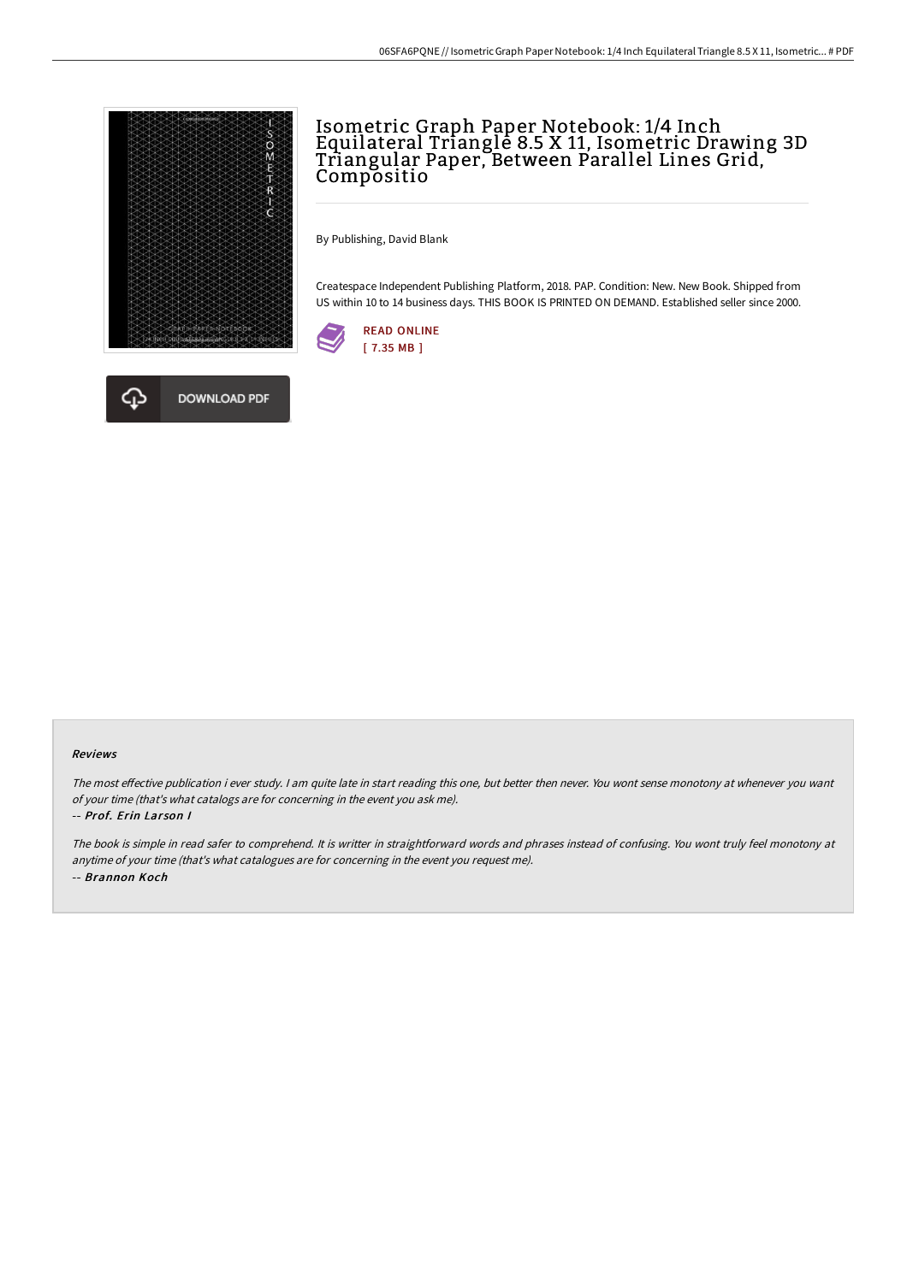

# Isometric Graph Paper Notebook: 1/4 Inch Equilateral Triangle 8.5 X 11, Isometric Drawing 3D Triangular Paper, Between Parallel Lines Grid, Compositio

By Publishing, David Blank

Createspace Independent Publishing Platform, 2018. PAP. Condition: New. New Book. Shipped from US within 10 to 14 business days. THIS BOOK IS PRINTED ON DEMAND. Established seller since 2000.





#### Reviews

The most effective publication i ever study. I am quite late in start reading this one, but better then never. You wont sense monotony at whenever you want of your time (that's what catalogs are for concerning in the event you ask me).

#### -- Prof. Erin Larson I

The book is simple in read safer to comprehend. It is writter in straightforward words and phrases instead of confusing. You wont truly feel monotony at anytime of your time (that's what catalogues are for concerning in the event you request me). -- Brannon Koch